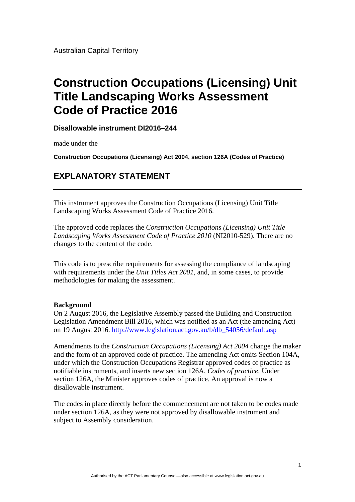Australian Capital Territory

## **Construction Occupations (Licensing) Unit Title Landscaping Works Assessment Code of Practice 2016**

**Disallowable instrument DI2016–244**

made under the

**Construction Occupations (Licensing) Act 2004, section 126A (Codes of Practice)** 

## **EXPLANATORY STATEMENT**

This instrument approves the Construction Occupations (Licensing) Unit Title Landscaping Works Assessment Code of Practice 2016.

The approved code replaces the *Construction Occupations (Licensing) Unit Title Landscaping Works Assessment Code of Practice 2010* (NI2010-529). There are no changes to the content of the code.

This code is to prescribe requirements for assessing the compliance of landscaping with requirements under the *Unit Titles Act 2001*, and, in some cases, to provide methodologies for making the assessment.

## **Background**

On 2 August 2016, the Legislative Assembly passed the Building and Construction Legislation Amendment Bill 2016, which was notified as an Act (the amending Act) on 19 August 2016. [http://www.legislation.act.gov.au/b/db\\_54056/default.asp](http://www.legislation.act.gov.au/b/db_54056/default.asp) 

Amendments to the *Construction Occupations (Licensing) Act 2004* change the maker and the form of an approved code of practice. The amending Act omits Section 104A, under which the Construction Occupations Registrar approved codes of practice as notifiable instruments, and inserts new section 126A, *Codes of practice*. Under section 126A, the Minister approves codes of practice. An approval is now a disallowable instrument.

The codes in place directly before the commencement are not taken to be codes made under section 126A, as they were not approved by disallowable instrument and subject to Assembly consideration.